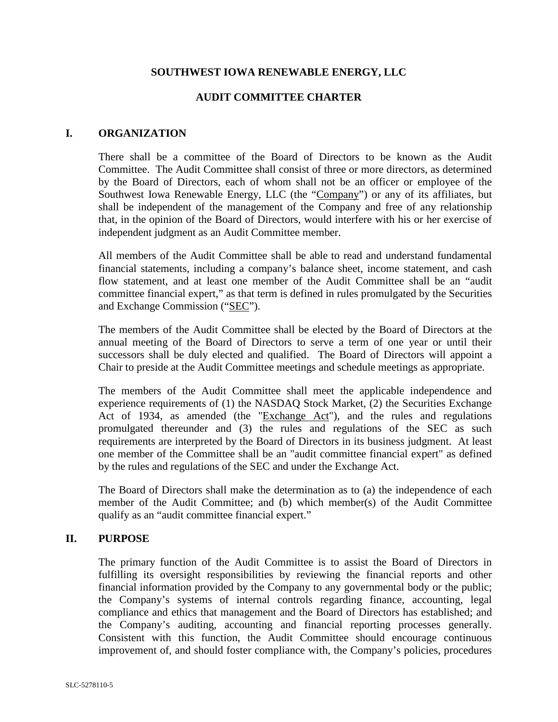#### **SOUTHWEST IOWA RENEWABLE ENERGY, LLC**

### **AUDIT COMMITTEE CHARTER**

#### **I. ORGANIZATION**

There shall be a committee of the Board of Directors to be known as the Audit Committee. The Audit Committee shall consist of three or more directors, as determined by the Board of Directors, each of whom shall not be an officer or employee of the Southwest Iowa Renewable Energy, LLC (the "Company") or any of its affiliates, but shall be independent of the management of the Company and free of any relationship that, in the opinion of the Board of Directors, would interfere with his or her exercise of independent judgment as an Audit Committee member.

All members of the Audit Committee shall be able to read and understand fundamental financial statements, including a company's balance sheet, income statement, and cash flow statement, and at least one member of the Audit Committee shall be an "audit committee financial expert," as that term is defined in rules promulgated by the Securities and Exchange Commission ("SEC").

The members of the Audit Committee shall be elected by the Board of Directors at the annual meeting of the Board of Directors to serve a term of one year or until their successors shall be duly elected and qualified. The Board of Directors will appoint a Chair to preside at the Audit Committee meetings and schedule meetings as appropriate.

The members of the Audit Committee shall meet the applicable independence and experience requirements of (1) the NASDAQ Stock Market, (2) the Securities Exchange Act of 1934, as amended (the "Exchange Act"), and the rules and regulations promulgated thereunder and (3) the rules and regulations of the SEC as such requirements are interpreted by the Board of Directors in its business judgment. At least one member of the Committee shall be an "audit committee financial expert" as defined by the rules and regulations of the SEC and under the Exchange Act.

The Board of Directors shall make the determination as to (a) the independence of each member of the Audit Committee; and (b) which member(s) of the Audit Committee qualify as an "audit committee financial expert."

#### **II. PURPOSE**

The primary function of the Audit Committee is to assist the Board of Directors in fulfilling its oversight responsibilities by reviewing the financial reports and other financial information provided by the Company to any governmental body or the public; the Company's systems of internal controls regarding finance, accounting, legal compliance and ethics that management and the Board of Directors has established; and the Company's auditing, accounting and financial reporting processes generally. Consistent with this function, the Audit Committee should encourage continuous improvement of, and should foster compliance with, the Company's policies, procedures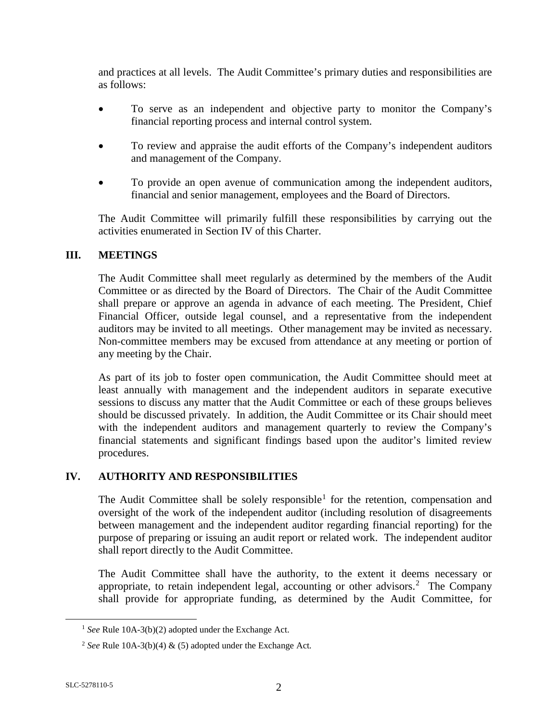and practices at all levels. The Audit Committee's primary duties and responsibilities are as follows:

- To serve as an independent and objective party to monitor the Company's financial reporting process and internal control system.
- To review and appraise the audit efforts of the Company's independent auditors and management of the Company.
- To provide an open avenue of communication among the independent auditors, financial and senior management, employees and the Board of Directors.

The Audit Committee will primarily fulfill these responsibilities by carrying out the activities enumerated in Section IV of this Charter.

### **III. MEETINGS**

The Audit Committee shall meet regularly as determined by the members of the Audit Committee or as directed by the Board of Directors. The Chair of the Audit Committee shall prepare or approve an agenda in advance of each meeting. The President, Chief Financial Officer, outside legal counsel, and a representative from the independent auditors may be invited to all meetings. Other management may be invited as necessary. Non-committee members may be excused from attendance at any meeting or portion of any meeting by the Chair.

As part of its job to foster open communication, the Audit Committee should meet at least annually with management and the independent auditors in separate executive sessions to discuss any matter that the Audit Committee or each of these groups believes should be discussed privately. In addition, the Audit Committee or its Chair should meet with the independent auditors and management quarterly to review the Company's financial statements and significant findings based upon the auditor's limited review procedures.

# **IV. AUTHORITY AND RESPONSIBILITIES**

The Audit Committee shall be solely responsible<sup>[1](#page-1-0)</sup> for the retention, compensation and oversight of the work of the independent auditor (including resolution of disagreements between management and the independent auditor regarding financial reporting) for the purpose of preparing or issuing an audit report or related work. The independent auditor shall report directly to the Audit Committee.

The Audit Committee shall have the authority, to the extent it deems necessary or appropriate, to retain independent legal, accounting or other advisors.<sup>[2](#page-1-1)</sup> The Company shall provide for appropriate funding, as determined by the Audit Committee, for

<span id="page-1-0"></span> <sup>1</sup> *See* Rule 10A-3(b)(2) adopted under the Exchange Act.

<span id="page-1-1"></span><sup>&</sup>lt;sup>2</sup> *See* Rule 10A-3(b)(4)  $\&$  (5) adopted under the Exchange Act.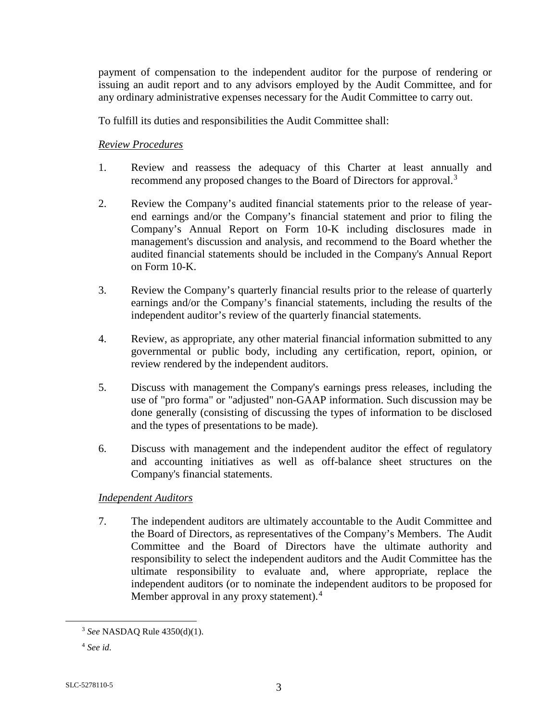payment of compensation to the independent auditor for the purpose of rendering or issuing an audit report and to any advisors employed by the Audit Committee, and for any ordinary administrative expenses necessary for the Audit Committee to carry out.

To fulfill its duties and responsibilities the Audit Committee shall:

### *Review Procedures*

- 1. Review and reassess the adequacy of this Charter at least annually and recommend any proposed changes to the Board of Directors for approval.[3](#page-2-0)
- 2. Review the Company's audited financial statements prior to the release of yearend earnings and/or the Company's financial statement and prior to filing the Company's Annual Report on Form 10-K including disclosures made in management's discussion and analysis, and recommend to the Board whether the audited financial statements should be included in the Company's Annual Report on Form 10-K.
- 3. Review the Company's quarterly financial results prior to the release of quarterly earnings and/or the Company's financial statements, including the results of the independent auditor's review of the quarterly financial statements.
- 4. Review, as appropriate, any other material financial information submitted to any governmental or public body, including any certification, report, opinion, or review rendered by the independent auditors.
- 5. Discuss with management the Company's earnings press releases, including the use of "pro forma" or "adjusted" non-GAAP information. Such discussion may be done generally (consisting of discussing the types of information to be disclosed and the types of presentations to be made).
- 6. Discuss with management and the independent auditor the effect of regulatory and accounting initiatives as well as off-balance sheet structures on the Company's financial statements.

# *Independent Auditors*

7. The independent auditors are ultimately accountable to the Audit Committee and the Board of Directors, as representatives of the Company's Members. The Audit Committee and the Board of Directors have the ultimate authority and responsibility to select the independent auditors and the Audit Committee has the ultimate responsibility to evaluate and, where appropriate, replace the independent auditors (or to nominate the independent auditors to be proposed for Member approval in any proxy statement).<sup>[4](#page-2-1)</sup>

<span id="page-2-0"></span> <sup>3</sup> *See* NASDAQ Rule 4350(d)(1).

<span id="page-2-1"></span><sup>4</sup> *See id.*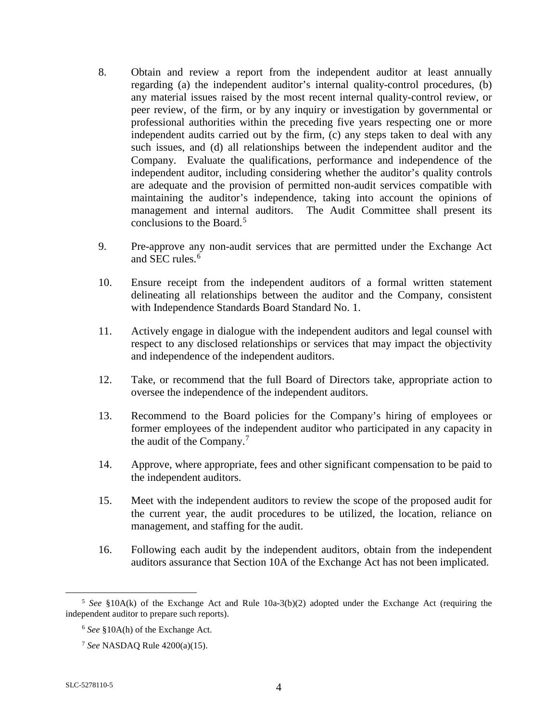- 8. Obtain and review a report from the independent auditor at least annually regarding (a) the independent auditor's internal quality-control procedures, (b) any material issues raised by the most recent internal quality-control review, or peer review, of the firm, or by any inquiry or investigation by governmental or professional authorities within the preceding five years respecting one or more independent audits carried out by the firm, (c) any steps taken to deal with any such issues, and (d) all relationships between the independent auditor and the Company. Evaluate the qualifications, performance and independence of the independent auditor, including considering whether the auditor's quality controls are adequate and the provision of permitted non-audit services compatible with maintaining the auditor's independence, taking into account the opinions of management and internal auditors. The Audit Committee shall present its conclusions to the Board.<sup>[5](#page-3-0)</sup>
- 9. Pre-approve any non-audit services that are permitted under the Exchange Act and SEC rules.<sup>[6](#page-3-1)</sup>
- 10. Ensure receipt from the independent auditors of a formal written statement delineating all relationships between the auditor and the Company, consistent with Independence Standards Board Standard No. 1.
- 11. Actively engage in dialogue with the independent auditors and legal counsel with respect to any disclosed relationships or services that may impact the objectivity and independence of the independent auditors.
- 12. Take, or recommend that the full Board of Directors take, appropriate action to oversee the independence of the independent auditors.
- 13. Recommend to the Board policies for the Company's hiring of employees or former employees of the independent auditor who participated in any capacity in the audit of the Company.[7](#page-3-2)
- 14. Approve, where appropriate, fees and other significant compensation to be paid to the independent auditors.
- 15. Meet with the independent auditors to review the scope of the proposed audit for the current year, the audit procedures to be utilized, the location, reliance on management, and staffing for the audit.
- 16. Following each audit by the independent auditors, obtain from the independent auditors assurance that Section 10A of the Exchange Act has not been implicated.

<span id="page-3-2"></span><span id="page-3-1"></span><span id="page-3-0"></span> <sup>5</sup> *See* §10A(k) of the Exchange Act and Rule 10a-3(b)(2) adopted under the Exchange Act (requiring the independent auditor to prepare such reports).

<sup>6</sup> *See* §10A(h) of the Exchange Act.

<sup>7</sup> *See* NASDAQ Rule 4200(a)(15).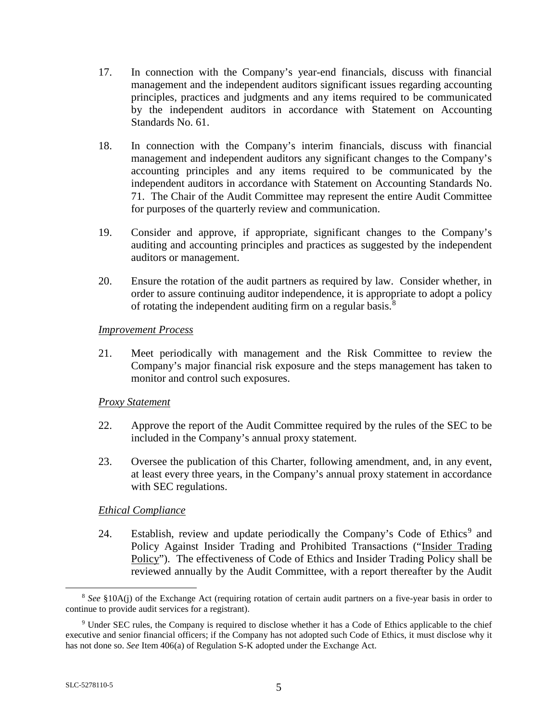- 17. In connection with the Company's year-end financials, discuss with financial management and the independent auditors significant issues regarding accounting principles, practices and judgments and any items required to be communicated by the independent auditors in accordance with Statement on Accounting Standards No. 61.
- 18. In connection with the Company's interim financials, discuss with financial management and independent auditors any significant changes to the Company's accounting principles and any items required to be communicated by the independent auditors in accordance with Statement on Accounting Standards No. 71. The Chair of the Audit Committee may represent the entire Audit Committee for purposes of the quarterly review and communication.
- 19. Consider and approve, if appropriate, significant changes to the Company's auditing and accounting principles and practices as suggested by the independent auditors or management.
- 20. Ensure the rotation of the audit partners as required by law. Consider whether, in order to assure continuing auditor independence, it is appropriate to adopt a policy of rotating the independent auditing firm on a regular basis.[8](#page-4-0)

#### *Improvement Process*

21. Meet periodically with management and the Risk Committee to review the Company's major financial risk exposure and the steps management has taken to monitor and control such exposures.

# *Proxy Statement*

- 22. Approve the report of the Audit Committee required by the rules of the SEC to be included in the Company's annual proxy statement.
- 23. Oversee the publication of this Charter, following amendment, and, in any event, at least every three years, in the Company's annual proxy statement in accordance with SEC regulations.

# *Ethical Compliance*

24. Establish, review and update periodically the Company's Code of Ethics<sup>[9](#page-4-1)</sup> and Policy Against Insider Trading and Prohibited Transactions ("Insider Trading Policy"). The effectiveness of Code of Ethics and Insider Trading Policy shall be reviewed annually by the Audit Committee, with a report thereafter by the Audit

<span id="page-4-0"></span> <sup>8</sup> *See* §10A(j) of the Exchange Act (requiring rotation of certain audit partners on a five-year basis in order to continue to provide audit services for a registrant).

<span id="page-4-1"></span><sup>9</sup> Under SEC rules, the Company is required to disclose whether it has a Code of Ethics applicable to the chief executive and senior financial officers; if the Company has not adopted such Code of Ethics, it must disclose why it has not done so. *See* Item 406(a) of Regulation S-K adopted under the Exchange Act.